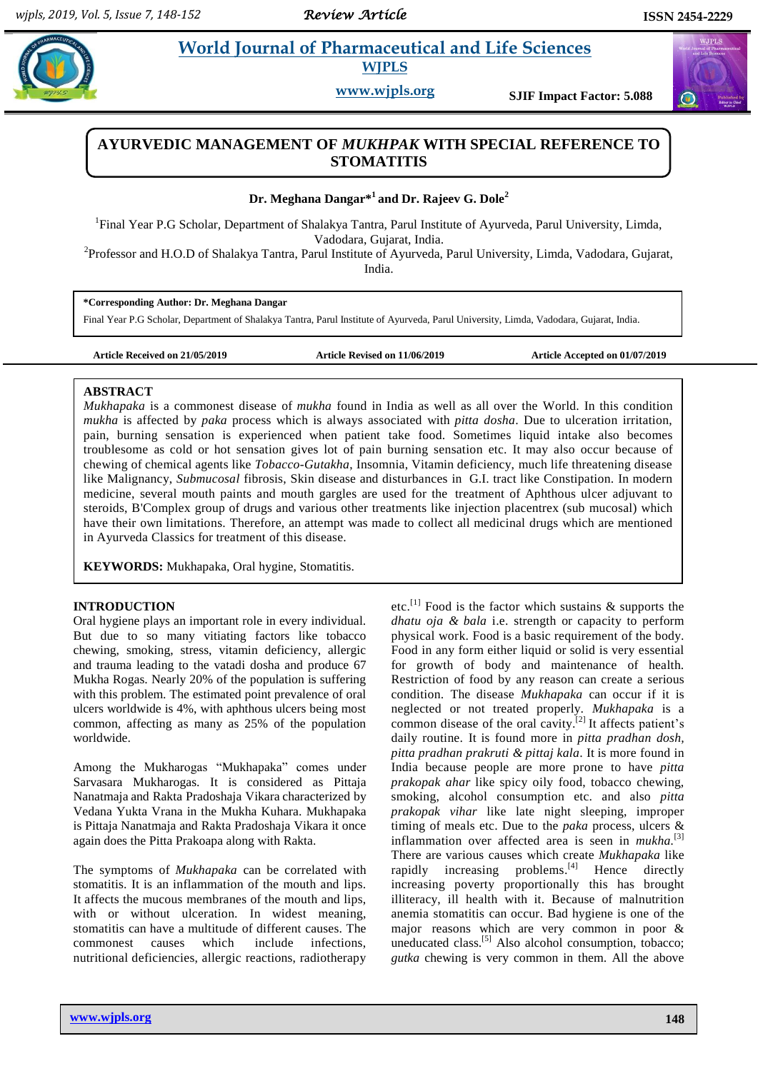# **Paramaceutical and Life Sciences WJPLS**

**www.wjpls.org SJIF Impact Factor: 5.088**



**Dr. Meghana Dangar\* 1 and Dr. Rajeev G. Dole<sup>2</sup>**

<sup>1</sup>Final Year P.G Scholar, Department of Shalakya Tantra, Parul Institute of Ayurveda, Parul University, Limda, Vadodara, Gujarat, India.

<sup>2</sup>Professor and H.O.D of Shalakya Tantra, Parul Institute of Ayurveda, Parul University, Limda, Vadodara, Gujarat, India.

**\*Corresponding Author: Dr. Meghana Dangar**

Final Year P.G Scholar, Department of Shalakya Tantra, Parul Institute of Ayurveda, Parul University, Limda, Vadodara, Gujarat, India.

**Article Received on 21/05/2019 Article Revised on 11/06/2019 Article Accepted on 01/07/2019**

### **ABSTRACT**

*Mukhapaka* is a commonest disease of *mukha* found in India as well as all over the World. In this condition *mukha* is affected by *paka* process which is always associated with *pitta dosha*. Due to ulceration irritation, pain, burning sensation is experienced when patient take food. Sometimes liquid intake also becomes troublesome as cold or hot sensation gives lot of pain burning sensation etc. It may also occur because of chewing of chemical agents like *Tobacco-Gutakha*, Insomnia, Vitamin deficiency, much life threatening disease like Malignancy, *Submucosal* fibrosis, Skin disease and disturbances in G.I. tract like Constipation. In modern medicine, several mouth paints and mouth gargles are used for the treatment of Aphthous ulcer adjuvant to steroids, B'Complex group of drugs and various other treatments like injection placentrex (sub mucosal) which have their own limitations. Therefore, an attempt was made to collect all medicinal drugs which are mentioned in Ayurveda Classics for treatment of this disease.

**KEYWORDS:** Mukhapaka, Oral hygine, Stomatitis.

### **INTRODUCTION**

Oral hygiene plays an important role in every individual. But due to so many vitiating factors like tobacco chewing, smoking, stress, vitamin deficiency, allergic and trauma leading to the vatadi dosha and produce 67 Mukha Rogas. Nearly 20% of the population is suffering with this problem. The estimated point prevalence of oral ulcers worldwide is 4%, with aphthous ulcers being most common, affecting as many as 25% of the population worldwide.

Among the Mukharogas "Mukhapaka" comes under Sarvasara Mukharogas. It is considered as Pittaja Nanatmaja and Rakta Pradoshaja Vikara characterized by Vedana Yukta Vrana in the Mukha Kuhara. Mukhapaka is Pittaja Nanatmaja and Rakta Pradoshaja Vikara it once again does the Pitta Prakoapa along with Rakta.

The symptoms of *Mukhapaka* can be correlated with stomatitis. It is an inflammation of the mouth and lips. It affects the mucous membranes of the mouth and lips, with or without ulceration. In widest meaning, stomatitis can have a multitude of different causes. The commonest causes which include infections, nutritional deficiencies, allergic reactions, radiotherapy

etc.<sup>[1]</sup> Food is the factor which sustains  $\&$  supports the *dhatu oja & bala* i.e. strength or capacity to perform physical work. Food is a basic requirement of the body. Food in any form either liquid or solid is very essential for growth of body and maintenance of health. Restriction of food by any reason can create a serious condition. The disease *Mukhapaka* can occur if it is neglected or not treated properly. *Mukhapaka* is a common disease of the oral cavity.<sup>[2]</sup> It affects patient's daily routine. It is found more in *pitta pradhan dosh, pitta pradhan prakruti & pittaj kala*. It is more found in India because people are more prone to have *pitta prakopak ahar* like spicy oily food, tobacco chewing, smoking, alcohol consumption etc. and also *pitta prakopak vihar* like late night sleeping, improper timing of meals etc. Due to the *paka* process, ulcers & inflammation over affected area is seen in *mukha*.<sup>[3]</sup> There are various causes which create *Mukhapaka* like rapidly increasing problems.<sup>[4]</sup> Hence directly increasing poverty proportionally this has brought illiteracy, ill health with it. Because of malnutrition anemia stomatitis can occur. Bad hygiene is one of the major reasons which are very common in poor & uneducated class.<sup>[5]</sup> Also alcohol consumption, tobacco; *gutka* chewing is very common in them. All the above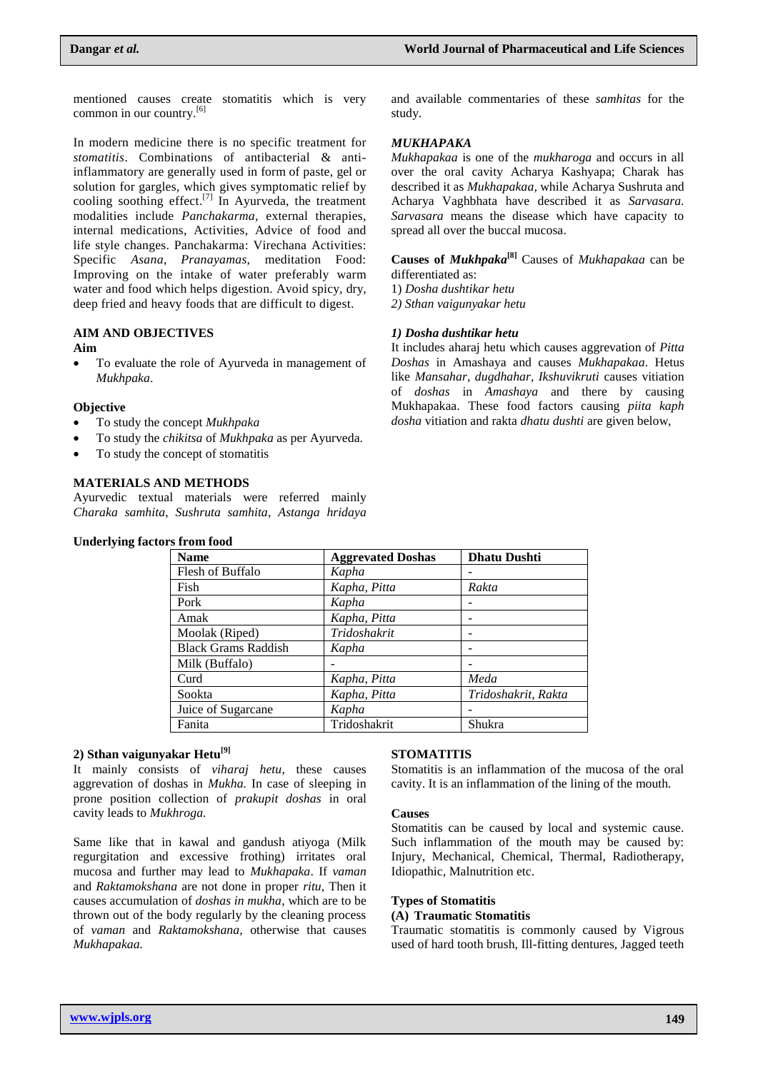mentioned causes create stomatitis which is very common in our country.<sup>[6]</sup>

In modern medicine there is no specific treatment for *stomatitis*. Combinations of antibacterial & antiinflammatory are generally used in form of paste, gel or solution for gargles, which gives symptomatic relief by cooling soothing effect.<sup>[7]</sup> In Ayurveda, the treatment modalities include *Panchakarma,* external therapies, internal medications, Activities, Advice of food and life style changes. Panchakarma: Virechana Activities: Specific *Asana*, *Pranayamas*, meditation Food: Improving on the intake of water preferably warm water and food which helps digestion. Avoid spicy, dry, deep fried and heavy foods that are difficult to digest.

## **AIM AND OBJECTIVES**

#### **Aim**

• To evaluate the role of Ayurveda in management of *Mukhpaka*.

#### **Objective**

- To study the concept *Mukhpaka*
- To study the *chikitsa* of *Mukhpaka* as per Ayurveda.
- To study the concept of stomatitis

#### **MATERIALS AND METHODS**

Ayurvedic textual materials were referred mainly *Charaka samhita*, *Sushruta samhita*, *Astanga hridaya* 

#### **Underlying factors from food**

and available commentaries of these *samhitas* for the study.

#### *MUKHAPAKA*

*Mukhapakaa* is one of the *mukharoga* and occurs in all over the oral cavity Acharya Kashyapa; Charak has described it as *Mukhapakaa,* while Acharya Sushruta and Acharya Vaghbhata have described it as *Sarvasara. Sarvasara* means the disease which have capacity to spread all over the buccal mucosa.

**Causes of** *Mukhpaka***[8]** Causes of *Mukhapakaa* can be differentiated as:

1) *Dosha dushtikar hetu* 

*2) Sthan vaigunyakar hetu*

#### *1) Dosha dushtikar hetu*

It includes aharaj hetu which causes aggrevation of *Pitta Doshas* in Amashaya and causes *Mukhapakaa*. Hetus like *Mansahar, dugdhahar, Ikshuvikruti* causes vitiation of *doshas* in *Amashaya* and there by causing Mukhapakaa. These food factors causing *piita kaph dosha* vitiation and rakta *dhatu dushti* are given below,

| <b>Name</b>                | <b>Aggrevated Doshas</b> | <b>Dhatu Dushti</b> |
|----------------------------|--------------------------|---------------------|
| Flesh of Buffalo           | Kapha                    |                     |
| Fish                       | Kapha, Pitta             | Rakta               |
| Pork                       | Kapha                    |                     |
| Amak                       | Kapha, Pitta             |                     |
| Moolak (Riped)             | Tridoshakrit             |                     |
| <b>Black Grams Raddish</b> | Kapha                    |                     |
| Milk (Buffalo)             |                          |                     |
| Curd                       | Kapha, Pitta             | Meda                |
| Sookta                     | Kapha, Pitta             | Tridoshakrit, Rakta |
| Juice of Sugarcane         | Kapha                    |                     |
| Fanita                     | Tridoshakrit             | Shukra              |

#### **2) Sthan vaigunyakar Hetu[9]**

It mainly consists of *viharaj hetu*, these causes aggrevation of doshas in *Mukha.* In case of sleeping in prone position collection of *prakupit doshas* in oral cavity leads to *Mukhroga.*

Same like that in kawal and gandush atiyoga (Milk regurgitation and excessive frothing) irritates oral mucosa and further may lead to *Mukhapaka*. If *vaman*  and *Raktamokshana* are not done in proper *ritu*, Then it causes accumulation of *doshas in mukha*, which are to be thrown out of the body regularly by the cleaning process of *vaman* and *Raktamokshana,* otherwise that causes *Mukhapakaa.* 

#### **STOMATITIS**

Stomatitis is an inflammation of the mucosa of the oral cavity. It is an inflammation of the lining of the mouth.

#### **Causes**

Stomatitis can be caused by local and systemic cause. Such inflammation of the mouth may be caused by: Injury, Mechanical, Chemical, Thermal, Radiotherapy, Idiopathic, Malnutrition etc.

#### **Types of Stomatitis**

#### **(A) Traumatic Stomatitis**

Traumatic stomatitis is commonly caused by Vigrous used of hard tooth brush, Ill-fitting dentures, Jagged teeth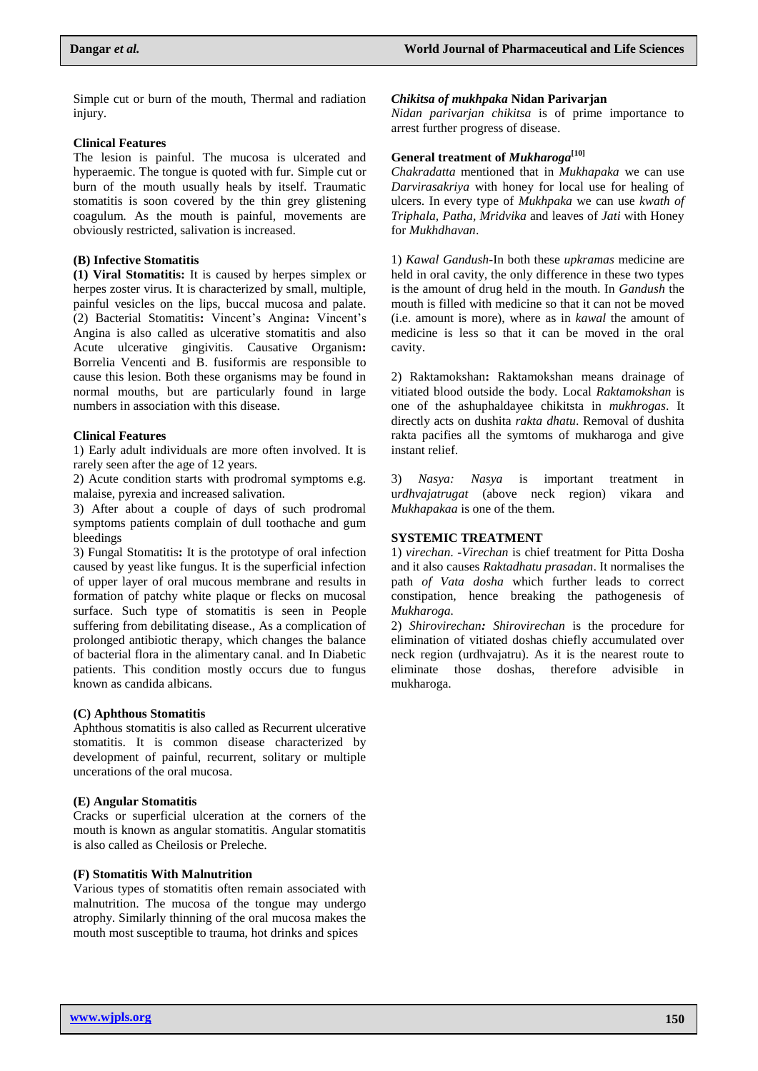Simple cut or burn of the mouth, Thermal and radiation injury.

#### **Clinical Features**

The lesion is painful. The mucosa is ulcerated and hyperaemic. The tongue is quoted with fur. Simple cut or burn of the mouth usually heals by itself. Traumatic stomatitis is soon covered by the thin grey glistening coagulum. As the mouth is painful, movements are obviously restricted, salivation is increased.

#### **(B) Infective Stomatitis**

**(1) Viral Stomatitis:** It is caused by herpes simplex or herpes zoster virus. It is characterized by small, multiple, painful vesicles on the lips, buccal mucosa and palate. (2) Bacterial Stomatitis**:** Vincent's Angina**:** Vincent's Angina is also called as ulcerative stomatitis and also Acute ulcerative gingivitis. Causative Organism**:** Borrelia Vencenti and B. fusiformis are responsible to cause this lesion. Both these organisms may be found in normal mouths, but are particularly found in large numbers in association with this disease.

#### **Clinical Features**

1) Early adult individuals are more often involved. It is rarely seen after the age of 12 years.

2) Acute condition starts with prodromal symptoms e.g. malaise, pyrexia and increased salivation.

3) After about a couple of days of such prodromal symptoms patients complain of dull toothache and gum bleedings

3) Fungal Stomatitis**:** It is the prototype of oral infection caused by yeast like fungus. It is the superficial infection of upper layer of oral mucous membrane and results in formation of patchy white plaque or flecks on mucosal surface. Such type of stomatitis is seen in People suffering from debilitating disease., As a complication of prolonged antibiotic therapy, which changes the balance of bacterial flora in the alimentary canal. and In Diabetic patients. This condition mostly occurs due to fungus known as candida albicans.

#### **(C) Aphthous Stomatitis**

Aphthous stomatitis is also called as Recurrent ulcerative stomatitis. It is common disease characterized by development of painful, recurrent, solitary or multiple uncerations of the oral mucosa.

#### **(E) Angular Stomatitis**

Cracks or superficial ulceration at the corners of the mouth is known as angular stomatitis. Angular stomatitis is also called as Cheilosis or Preleche.

#### **(F) Stomatitis With Malnutrition**

Various types of stomatitis often remain associated with malnutrition. The mucosa of the tongue may undergo atrophy. Similarly thinning of the oral mucosa makes the mouth most susceptible to trauma, hot drinks and spices

#### *Chikitsa of mukhpaka* **Nidan Parivarjan**

*Nidan parivarjan chikitsa* is of prime importance to arrest further progress of disease.

## **General treatment of** *Mukharoga***[10]**

*Chakradatta* mentioned that in *Mukhapaka* we can use *Darvirasakriya* with honey for local use for healing of ulcers. In every type of *Mukhpaka* we can use *kwath of Triphala, Patha, Mridvika* and leaves of *Jati* with Honey for *Mukhdhavan*.

1) *Kawal Gandush***-**In both these *upkramas* medicine are held in oral cavity, the only difference in these two types is the amount of drug held in the mouth. In *Gandush* the mouth is filled with medicine so that it can not be moved (i.e. amount is more), where as in *kawal* the amount of medicine is less so that it can be moved in the oral cavity.

2) Raktamokshan**:** Raktamokshan means drainage of vitiated blood outside the body. Local *Raktamokshan* is one of the ashuphaldayee chikitsta in *mukhrogas*. It directly acts on dushita *rakta dhatu*. Removal of dushita rakta pacifies all the symtoms of mukharoga and give instant relief.

3) *Nasya: Nasya* is important treatment in u*rdhvajatrugat* (above neck region) vikara and *Mukhapakaa* is one of the them.

#### **SYSTEMIC TREATMENT**

1) *virechan*. **-***Virechan* is chief treatment for Pitta Dosha and it also causes *Raktadhatu prasadan*. It normalises the path *of Vata dosha* which further leads to correct constipation, hence breaking the pathogenesis of *Mukharoga.* 

2) *Shirovirechan: Shirovirechan* is the procedure for elimination of vitiated doshas chiefly accumulated over neck region (urdhvajatru). As it is the nearest route to eliminate those doshas, therefore advisible in mukharoga.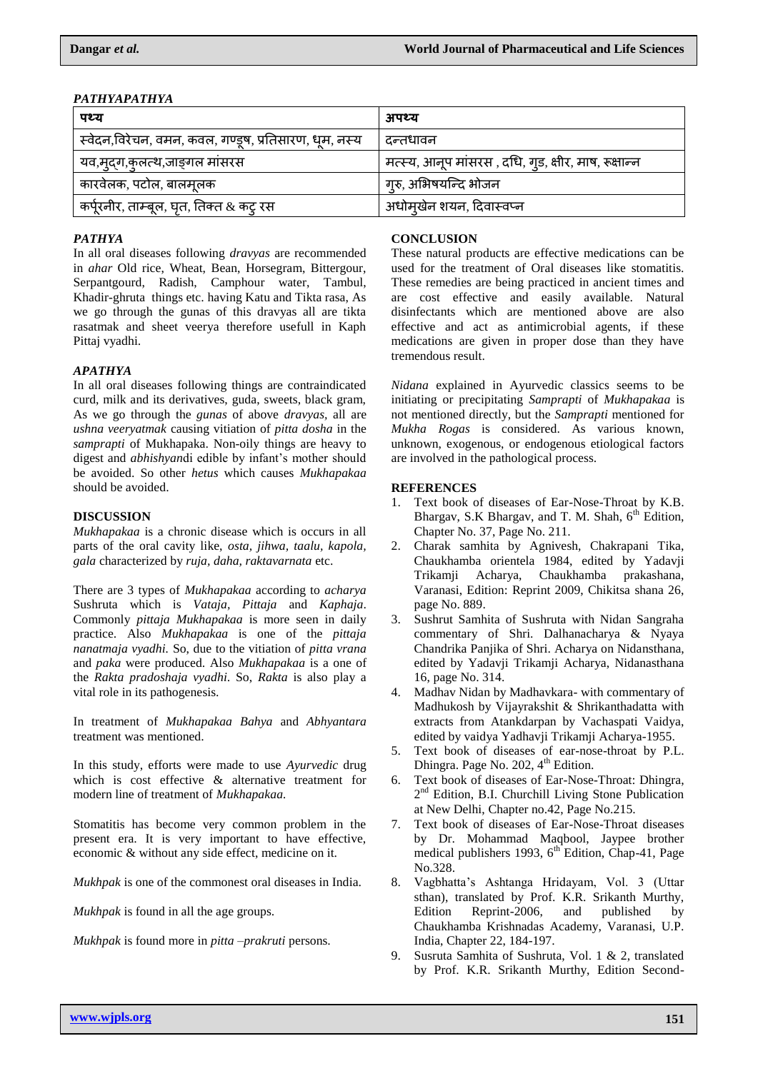## *PATHYAPATHYA*

| पथ्य                                                  | अपथ्य                                                 |
|-------------------------------------------------------|-------------------------------------------------------|
| स्वेदन,विरेचन, वमन, कवल, गण्डूष, प्रतिसारण, धूम, नस्य | दन्तधावन                                              |
| यव,मृद्ग,कुलत्थ,जाङ्गल मांसरस                         | मत्स्य, आनूप मांसरस , दधि, गुड, क्षीर, माष, रूक्षान्न |
| कारवेलक, पटोल, बालमूलक                                | गुरु, अभिषयन्दि भोजन                                  |
| कर्पूरनीर, ताम्बूल, घृत, तिक्त $\&$ कटु रस            | अधोम्खेन शयन, दिवास्वप्न                              |

## *PATHYA*

In all oral diseases following *dravyas* are recommended in *ahar* Old rice, Wheat, Bean, Horsegram, Bittergour, Serpantgourd, Radish, Camphour water, Tambul, Khadir-ghruta things etc. having Katu and Tikta rasa, As we go through the gunas of this dravyas all are tikta rasatmak and sheet veerya therefore usefull in Kaph Pittaj vyadhi.

## *APATHYA*

In all oral diseases following things are contraindicated curd, milk and its derivatives, guda, sweets, black gram, As we go through the *gunas* of above *dravyas,* all are *ushna veeryatmak* causing vitiation of *pitta dosha* in the *samprapti* of Mukhapaka. Non-oily things are heavy to digest and *abhishyan*di edible by infant's mother should be avoided. So other *hetus* which causes *Mukhapakaa*  should be avoided.

## **DISCUSSION**

*Mukhapakaa* is a chronic disease which is occurs in all parts of the oral cavity like, *osta, jihwa, taalu, kapola, gala* characterized by *ruja, daha, raktavarnata* etc.

There are 3 types of *Mukhapakaa* according to *acharya* Sushruta which is *Vataja, Pittaja* and *Kaphaja*. Commonly *pittaja Mukhapakaa* is more seen in daily practice. Also *Mukhapakaa* is one of the *pittaja nanatmaja vyadhi.* So, due to the vitiation of *pitta vrana* and *paka* were produced. Also *Mukhapakaa* is a one of the *Rakta pradoshaja vyadhi*. So, *Rakta* is also play a vital role in its pathogenesis.

In treatment of *Mukhapakaa Bahya* and *Abhyantara* treatment was mentioned.

In this study, efforts were made to use *Ayurvedic* drug which is cost effective & alternative treatment for modern line of treatment of *Mukhapakaa.* 

Stomatitis has become very common problem in the present era. It is very important to have effective, economic & without any side effect, medicine on it.

*Mukhpak* is one of the commonest oral diseases in India.

*Mukhpak* is found in all the age groups.

*Mukhpak* is found more in *pitta –prakruti* persons.

## **CONCLUSION**

These natural products are effective medications can be used for the treatment of Oral diseases like stomatitis. These remedies are being practiced in ancient times and are cost effective and easily available. Natural disinfectants which are mentioned above are also effective and act as antimicrobial agents, if these medications are given in proper dose than they have tremendous result.

*Nidana* explained in Ayurvedic classics seems to be initiating or precipitating *Samprapti* of *Mukhapakaa* is not mentioned directly, but the *Samprapti* mentioned for *Mukha Rogas* is considered. As various known, unknown, exogenous, or endogenous etiological factors are involved in the pathological process.

### **REFERENCES**

- 1. Text book of diseases of Ear-Nose-Throat by K.B. Bhargav, S.K Bhargav, and T. M. Shah,  $6<sup>th</sup>$  Edition, Chapter No. 37, Page No. 211.
- 2. Charak samhita by Agnivesh, Chakrapani Tika, Chaukhamba orientela 1984, edited by Yadavji Trikamji Acharya, Chaukhamba prakashana, Varanasi, Edition: Reprint 2009, Chikitsa shana 26, page No. 889.
- 3. Sushrut Samhita of Sushruta with Nidan Sangraha commentary of Shri. Dalhanacharya & Nyaya Chandrika Panjika of Shri. Acharya on Nidansthana, edited by Yadavji Trikamji Acharya, Nidanasthana 16, page No. 314.
- 4. Madhav Nidan by Madhavkara- with commentary of Madhukosh by Vijayrakshit & Shrikanthadatta with extracts from Atankdarpan by Vachaspati Vaidya, edited by vaidya Yadhavji Trikamji Acharya-1955.
- 5. Text book of diseases of ear-nose-throat by P.L. Dhingra. Page No. 202, 4<sup>th</sup> Edition.
- 6. Text book of diseases of Ear-Nose-Throat: Dhingra, 2<sup>nd</sup> Edition, B.I. Churchill Living Stone Publication at New Delhi, Chapter no.42, Page No.215.
- 7. Text book of diseases of Ear-Nose-Throat diseases by Dr. Mohammad Maqbool, Jaypee brother medical publishers 1993,  $6<sup>th</sup>$  Edition, Chap-41, Page No.328.
- 8. Vagbhatta's Ashtanga Hridayam, Vol. 3 (Uttar sthan), translated by Prof. K.R. Srikanth Murthy, Edition Reprint-2006, and published by Chaukhamba Krishnadas Academy, Varanasi, U.P. India, Chapter 22, 184-197.
- 9. Susruta Samhita of Sushruta, Vol. 1 & 2, translated by Prof. K.R. Srikanth Murthy, Edition Second-